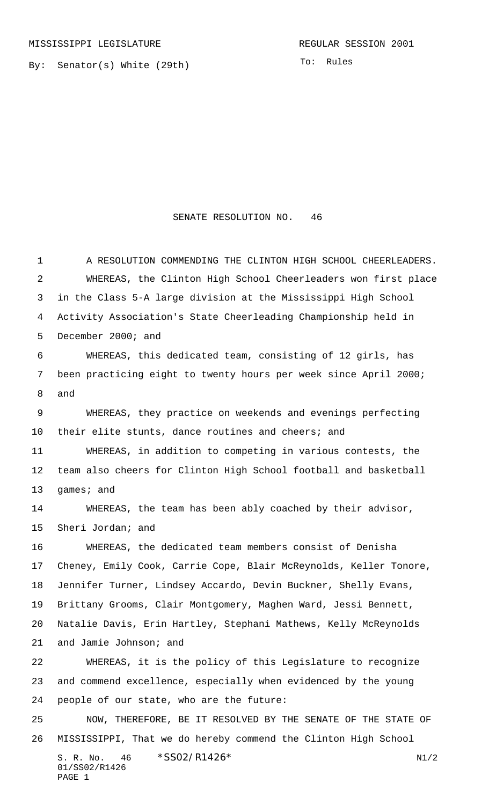By: Senator(s) White (29th)

## SENATE RESOLUTION NO. 46

S. R. No.  $46 \times$   $$SO2/R1426*$  N1/2 01/SS02/R1426 PAGE 1 1 A RESOLUTION COMMENDING THE CLINTON HIGH SCHOOL CHEERLEADERS. WHEREAS, the Clinton High School Cheerleaders won first place in the Class 5-A large division at the Mississippi High School Activity Association's State Cheerleading Championship held in December 2000; and WHEREAS, this dedicated team, consisting of 12 girls, has been practicing eight to twenty hours per week since April 2000; and WHEREAS, they practice on weekends and evenings perfecting their elite stunts, dance routines and cheers; and WHEREAS, in addition to competing in various contests, the team also cheers for Clinton High School football and basketball games; and WHEREAS, the team has been ably coached by their advisor, Sheri Jordan; and WHEREAS, the dedicated team members consist of Denisha Cheney, Emily Cook, Carrie Cope, Blair McReynolds, Keller Tonore, Jennifer Turner, Lindsey Accardo, Devin Buckner, Shelly Evans, Brittany Grooms, Clair Montgomery, Maghen Ward, Jessi Bennett, Natalie Davis, Erin Hartley, Stephani Mathews, Kelly McReynolds and Jamie Johnson; and WHEREAS, it is the policy of this Legislature to recognize and commend excellence, especially when evidenced by the young people of our state, who are the future: NOW, THEREFORE, BE IT RESOLVED BY THE SENATE OF THE STATE OF MISSISSIPPI, That we do hereby commend the Clinton High School